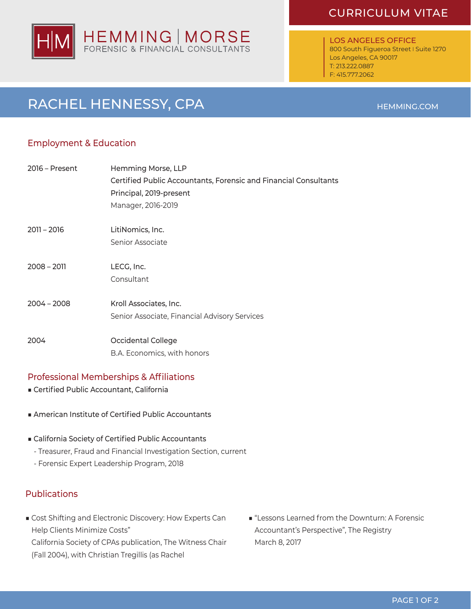### CURRICULUM VITAE



LOS ANGELES OFFICE 800 South Figueroa Street I Suite 1270 Los Angeles, CA 90017 T: 213.222.0887 F: 415.777.2062

## RACHEL HENNESSY, CPA

### Employment & Education

| $2016$ – Present | Hemming Morse, LLP                                               |
|------------------|------------------------------------------------------------------|
|                  | Certified Public Accountants, Forensic and Financial Consultants |
|                  | Principal, 2019-present                                          |
|                  | Manager, 2016-2019                                               |
| $2011 - 2016$    | LitiNomics, Inc.                                                 |
|                  | Senior Associate                                                 |
| $2008 - 2011$    | LECG, Inc.                                                       |
|                  | Consultant                                                       |
| $2004 - 2008$    | Kroll Associates, Inc.                                           |
|                  | Senior Associate, Financial Advisory Services                    |
| 2004             | Occidental College                                               |
|                  | B.A. Economics, with honors                                      |

### Professional Memberships & Affiliations

- Certified Public Accountant, California
- American Institute of Certified Public Accountants
- California Society of Certified Public Accountants
	- Treasurer, Fraud and Financial Investigation Section, current
	- Forensic Expert Leadership Program, 2018

### **Publications**

- Cost Shifting and Electronic Discovery: How Experts Can Help Clients Minimize Costs" California Society of CPAs publication, The Witness Chair (Fall 2004), with Christian Tregillis (as Rachel
- "Lessons Learned from the Downturn: A Forensic Accountant's Perspective", The Registry March 8, 2017

### HEMMING.COM